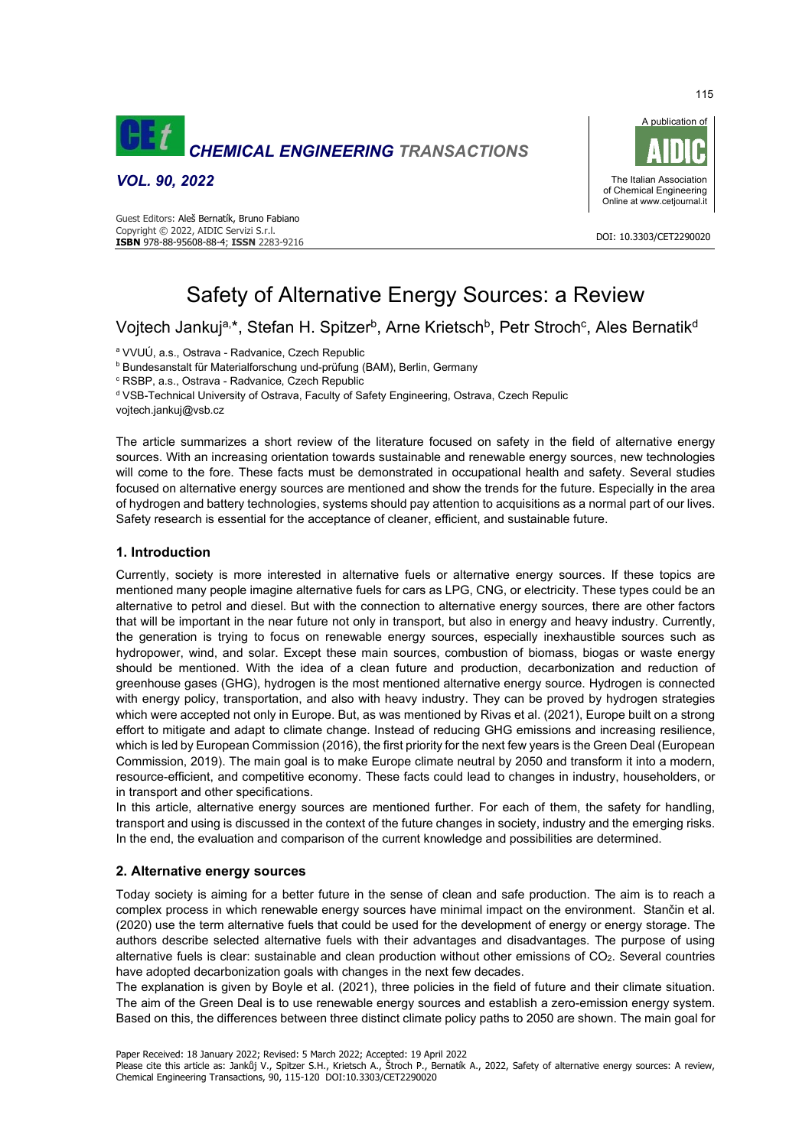

*VOL. 90, 2022* 





# Safety of Alternative Energy Sources: a Review

Vojtech Jankuj<sup>a,\*</sup>, Stefan H. Spitzer<sup>b</sup>, Arne Krietsch<sup>b</sup>, Petr Stroch<sup>c</sup>, Ales Bernatik<sup>d</sup>

<sup>a</sup> VVUÚ, a.s., Ostrava - Radvanice, Czech Republic

b Bundesanstalt für Materialforschung und-prüfung (BAM), Berlin, Germany

c RSBP, a.s., Ostrava - Radvanice, Czech Republic

d VSB-Technical University of Ostrava, Faculty of Safety Engineering, Ostrava, Czech Repulic

vojtech.jankuj@vsb.cz

The article summarizes a short review of the literature focused on safety in the field of alternative energy sources. With an increasing orientation towards sustainable and renewable energy sources, new technologies will come to the fore. These facts must be demonstrated in occupational health and safety. Several studies focused on alternative energy sources are mentioned and show the trends for the future. Especially in the area of hydrogen and battery technologies, systems should pay attention to acquisitions as a normal part of our lives. Safety research is essential for the acceptance of cleaner, efficient, and sustainable future.

## **1. Introduction**

Currently, society is more interested in alternative fuels or alternative energy sources. If these topics are mentioned many people imagine alternative fuels for cars as LPG, CNG, or electricity. These types could be an alternative to petrol and diesel. But with the connection to alternative energy sources, there are other factors that will be important in the near future not only in transport, but also in energy and heavy industry. Currently, the generation is trying to focus on renewable energy sources, especially inexhaustible sources such as hydropower, wind, and solar. Except these main sources, combustion of biomass, biogas or waste energy should be mentioned. With the idea of a clean future and production, decarbonization and reduction of greenhouse gases (GHG), hydrogen is the most mentioned alternative energy source. Hydrogen is connected with energy policy, transportation, and also with heavy industry. They can be proved by hydrogen strategies which were accepted not only in Europe. But, as was mentioned by Rivas et al. (2021), Europe built on a strong effort to mitigate and adapt to climate change. Instead of reducing GHG emissions and increasing resilience, which is led by European Commission (2016), the first priority for the next few years is the Green Deal (European Commission, 2019). The main goal is to make Europe climate neutral by 2050 and transform it into a modern, resource-efficient, and competitive economy. These facts could lead to changes in industry, householders, or in transport and other specifications.

In this article, alternative energy sources are mentioned further. For each of them, the safety for handling, transport and using is discussed in the context of the future changes in society, industry and the emerging risks. In the end, the evaluation and comparison of the current knowledge and possibilities are determined.

# **2. Alternative energy sources**

Today society is aiming for a better future in the sense of clean and safe production. The aim is to reach a complex process in which renewable energy sources have minimal impact on the environment. Stančin et al. (2020) use the term alternative fuels that could be used for the development of energy or energy storage. The authors describe selected alternative fuels with their advantages and disadvantages. The purpose of using alternative fuels is clear: sustainable and clean production without other emissions of CO2. Several countries have adopted decarbonization goals with changes in the next few decades.

The explanation is given by Boyle et al. (2021), three policies in the field of future and their climate situation. The aim of the Green Deal is to use renewable energy sources and establish a zero-emission energy system. Based on this, the differences between three distinct climate policy paths to 2050 are shown. The main goal for

Paper Received: 18 January 2022; Revised: 5 March 2022; Accepted: 19 April 2022

Please cite this article as: Jankůj V., Spitzer S.H., Krietsch A., Štroch P., Bernatík A., 2022, Safety of alternative energy sources: A review, Chemical Engineering Transactions, 90, 115-120 DOI:10.3303/CET2290020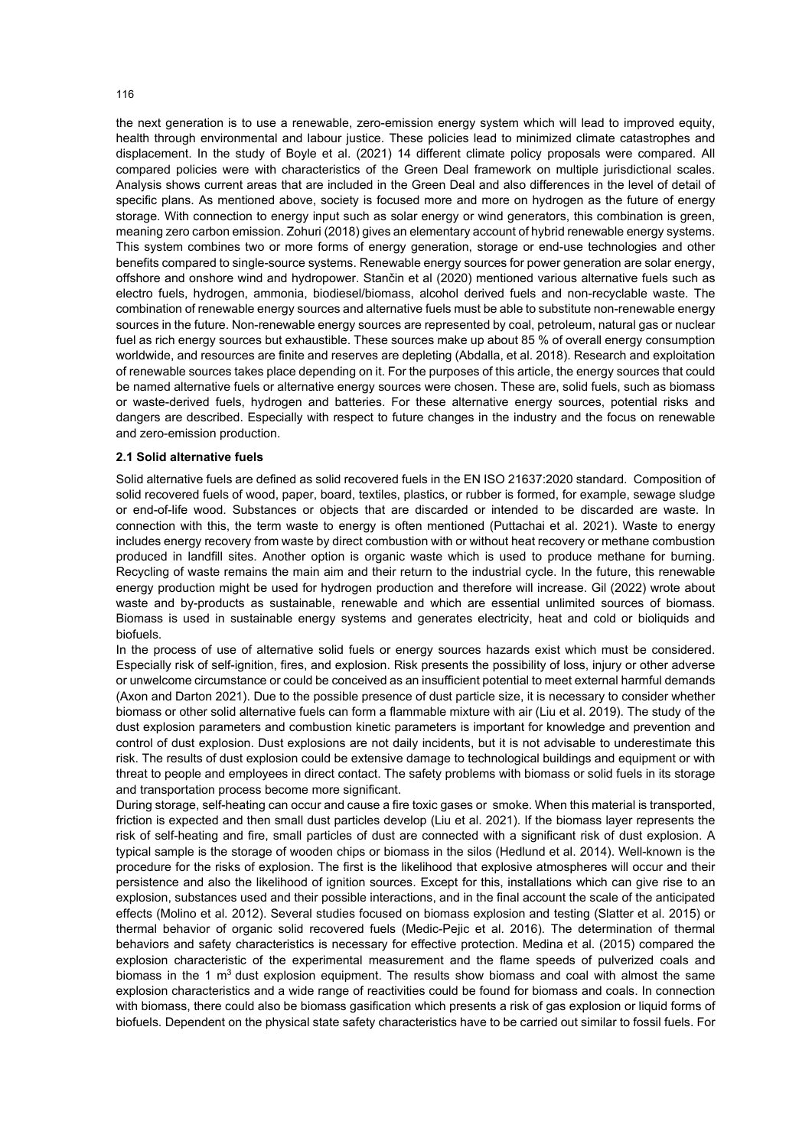the next generation is to use a renewable, zero-emission energy system which will lead to improved equity, health through environmental and labour justice. These policies lead to minimized climate catastrophes and displacement. In the study of Boyle et al. (2021) 14 different climate policy proposals were compared. All compared policies were with characteristics of the Green Deal framework on multiple jurisdictional scales. Analysis shows current areas that are included in the Green Deal and also differences in the level of detail of specific plans. As mentioned above, society is focused more and more on hydrogen as the future of energy storage. With connection to energy input such as solar energy or wind generators, this combination is green, meaning zero carbon emission. Zohuri (2018) gives an elementary account of hybrid renewable energy systems. This system combines two or more forms of energy generation, storage or end-use technologies and other benefits compared to single-source systems. Renewable energy sources for power generation are solar energy, offshore and onshore wind and hydropower. Stančin et al (2020) mentioned various alternative fuels such as electro fuels, hydrogen, ammonia, biodiesel/biomass, alcohol derived fuels and non-recyclable waste. The combination of renewable energy sources and alternative fuels must be able to substitute non-renewable energy sources in the future. Non-renewable energy sources are represented by coal, petroleum, natural gas or nuclear fuel as rich energy sources but exhaustible. These sources make up about 85 % of overall energy consumption worldwide, and resources are finite and reserves are depleting (Abdalla, et al. 2018). Research and exploitation of renewable sources takes place depending on it. For the purposes of this article, the energy sources that could be named alternative fuels or alternative energy sources were chosen. These are, solid fuels, such as biomass or waste-derived fuels, hydrogen and batteries. For these alternative energy sources, potential risks and dangers are described. Especially with respect to future changes in the industry and the focus on renewable and zero-emission production.

#### **2.1 Solid alternative fuels**

Solid alternative fuels are defined as solid recovered fuels in the EN ISO 21637:2020 standard. Composition of solid recovered fuels of wood, paper, board, textiles, plastics, or rubber is formed, for example, sewage sludge or end-of-life wood. Substances or objects that are discarded or intended to be discarded are waste. In connection with this, the term waste to energy is often mentioned (Puttachai et al. 2021). Waste to energy includes energy recovery from waste by direct combustion with or without heat recovery or methane combustion produced in landfill sites. Another option is organic waste which is used to produce methane for burning. Recycling of waste remains the main aim and their return to the industrial cycle. In the future, this renewable energy production might be used for hydrogen production and therefore will increase. Gil (2022) wrote about waste and by-products as sustainable, renewable and which are essential unlimited sources of biomass. Biomass is used in sustainable energy systems and generates electricity, heat and cold or bioliquids and biofuels.

In the process of use of alternative solid fuels or energy sources hazards exist which must be considered. Especially risk of self-ignition, fires, and explosion. Risk presents the possibility of loss, injury or other adverse or unwelcome circumstance or could be conceived as an insufficient potential to meet external harmful demands (Axon and Darton 2021). Due to the possible presence of dust particle size, it is necessary to consider whether biomass or other solid alternative fuels can form a flammable mixture with air (Liu et al. 2019). The study of the dust explosion parameters and combustion kinetic parameters is important for knowledge and prevention and control of dust explosion. Dust explosions are not daily incidents, but it is not advisable to underestimate this risk. The results of dust explosion could be extensive damage to technological buildings and equipment or with threat to people and employees in direct contact. The safety problems with biomass or solid fuels in its storage and transportation process become more significant.

During storage, self-heating can occur and cause a fire toxic gases or smoke. When this material is transported, friction is expected and then small dust particles develop (Liu et al. 2021). If the biomass layer represents the risk of self-heating and fire, small particles of dust are connected with a significant risk of dust explosion. A typical sample is the storage of wooden chips or biomass in the silos (Hedlund et al. 2014). Well-known is the procedure for the risks of explosion. The first is the likelihood that explosive atmospheres will occur and their persistence and also the likelihood of ignition sources. Except for this, installations which can give rise to an explosion, substances used and their possible interactions, and in the final account the scale of the anticipated effects (Molino et al. 2012). Several studies focused on biomass explosion and testing (Slatter et al. 2015) or thermal behavior of organic solid recovered fuels (Medic-Pejic et al. 2016). The determination of thermal behaviors and safety characteristics is necessary for effective protection. Medina et al. (2015) compared the explosion characteristic of the experimental measurement and the flame speeds of pulverized coals and biomass in the 1  $\text{m}^3$  dust explosion equipment. The results show biomass and coal with almost the same explosion characteristics and a wide range of reactivities could be found for biomass and coals. In connection with biomass, there could also be biomass gasification which presents a risk of gas explosion or liquid forms of biofuels. Dependent on the physical state safety characteristics have to be carried out similar to fossil fuels. For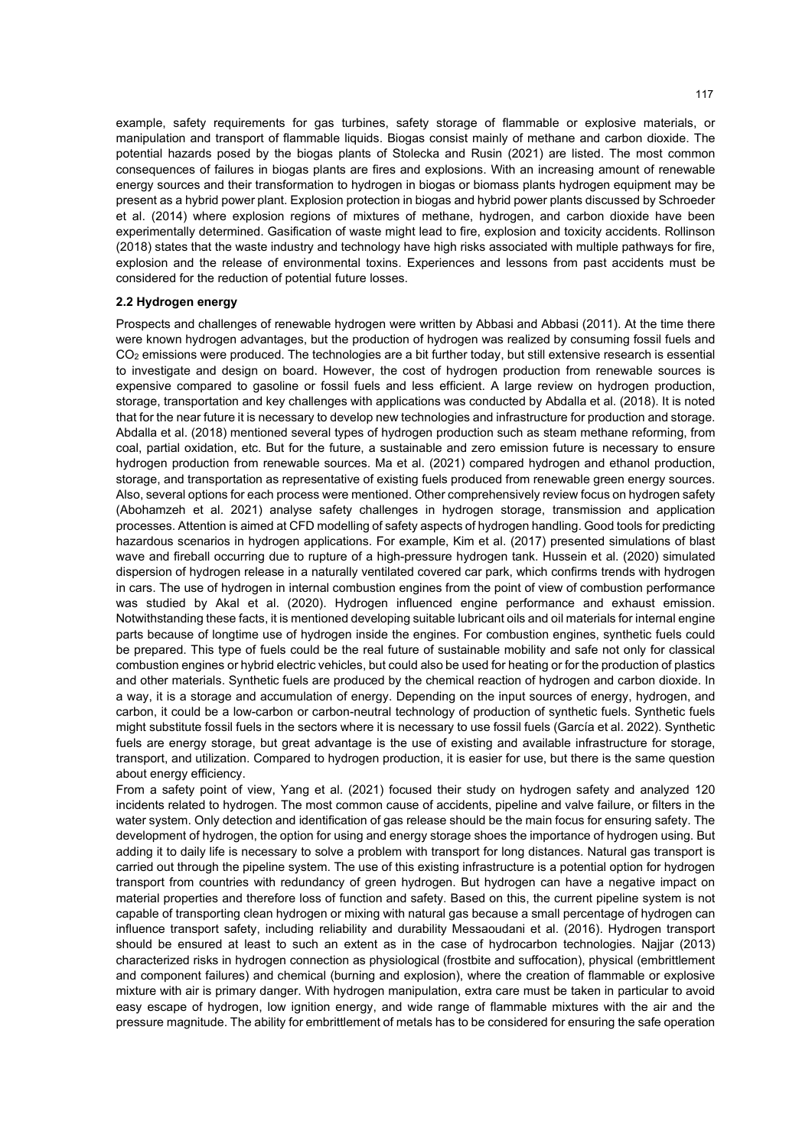example, safety requirements for gas turbines, safety storage of flammable or explosive materials, or manipulation and transport of flammable liquids. Biogas consist mainly of methane and carbon dioxide. The potential hazards posed by the biogas plants of Stolecka and Rusin (2021) are listed. The most common consequences of failures in biogas plants are fires and explosions. With an increasing amount of renewable energy sources and their transformation to hydrogen in biogas or biomass plants hydrogen equipment may be present as a hybrid power plant. Explosion protection in biogas and hybrid power plants discussed by Schroeder et al. (2014) where explosion regions of mixtures of methane, hydrogen, and carbon dioxide have been experimentally determined. Gasification of waste might lead to fire, explosion and toxicity accidents. Rollinson (2018) states that the waste industry and technology have high risks associated with multiple pathways for fire, explosion and the release of environmental toxins. Experiences and lessons from past accidents must be considered for the reduction of potential future losses.

#### **2.2 Hydrogen energy**

Prospects and challenges of renewable hydrogen were written by Abbasi and Abbasi (2011). At the time there were known hydrogen advantages, but the production of hydrogen was realized by consuming fossil fuels and CO<sub>2</sub> emissions were produced. The technologies are a bit further today, but still extensive research is essential to investigate and design on board. However, the cost of hydrogen production from renewable sources is expensive compared to gasoline or fossil fuels and less efficient. A large review on hydrogen production, storage, transportation and key challenges with applications was conducted by Abdalla et al. (2018). It is noted that for the near future it is necessary to develop new technologies and infrastructure for production and storage. Abdalla et al. (2018) mentioned several types of hydrogen production such as steam methane reforming, from coal, partial oxidation, etc. But for the future, a sustainable and zero emission future is necessary to ensure hydrogen production from renewable sources. Ma et al. (2021) compared hydrogen and ethanol production, storage, and transportation as representative of existing fuels produced from renewable green energy sources. Also, several options for each process were mentioned. Other comprehensively review focus on hydrogen safety (Abohamzeh et al. 2021) analyse safety challenges in hydrogen storage, transmission and application processes. Attention is aimed at CFD modelling of safety aspects of hydrogen handling. Good tools for predicting hazardous scenarios in hydrogen applications. For example, Kim et al. (2017) presented simulations of blast wave and fireball occurring due to rupture of a high-pressure hydrogen tank. Hussein et al. (2020) simulated dispersion of hydrogen release in a naturally ventilated covered car park, which confirms trends with hydrogen in cars. The use of hydrogen in internal combustion engines from the point of view of combustion performance was studied by Akal et al. (2020). Hydrogen influenced engine performance and exhaust emission. Notwithstanding these facts, it is mentioned developing suitable lubricant oils and oil materials for internal engine parts because of longtime use of hydrogen inside the engines. For combustion engines, synthetic fuels could be prepared. This type of fuels could be the real future of sustainable mobility and safe not only for classical combustion engines or hybrid electric vehicles, but could also be used for heating or for the production of plastics and other materials. Synthetic fuels are produced by the chemical reaction of hydrogen and carbon dioxide. In a way, it is a storage and accumulation of energy. Depending on the input sources of energy, hydrogen, and carbon, it could be a low-carbon or carbon-neutral technology of production of synthetic fuels. Synthetic fuels might substitute fossil fuels in the sectors where it is necessary to use fossil fuels (García et al. 2022). Synthetic fuels are energy storage, but great advantage is the use of existing and available infrastructure for storage, transport, and utilization. Compared to hydrogen production, it is easier for use, but there is the same question about energy efficiency.

From a safety point of view, Yang et al. (2021) focused their study on hydrogen safety and analyzed 120 incidents related to hydrogen. The most common cause of accidents, pipeline and valve failure, or filters in the water system. Only detection and identification of gas release should be the main focus for ensuring safety. The development of hydrogen, the option for using and energy storage shoes the importance of hydrogen using. But adding it to daily life is necessary to solve a problem with transport for long distances. Natural gas transport is carried out through the pipeline system. The use of this existing infrastructure is a potential option for hydrogen transport from countries with redundancy of green hydrogen. But hydrogen can have a negative impact on material properties and therefore loss of function and safety. Based on this, the current pipeline system is not capable of transporting clean hydrogen or mixing with natural gas because a small percentage of hydrogen can influence transport safety, including reliability and durability Messaoudani et al. (2016). Hydrogen transport should be ensured at least to such an extent as in the case of hydrocarbon technologies. Najjar (2013) characterized risks in hydrogen connection as physiological (frostbite and suffocation), physical (embrittlement and component failures) and chemical (burning and explosion), where the creation of flammable or explosive mixture with air is primary danger. With hydrogen manipulation, extra care must be taken in particular to avoid easy escape of hydrogen, low ignition energy, and wide range of flammable mixtures with the air and the pressure magnitude. The ability for embrittlement of metals has to be considered for ensuring the safe operation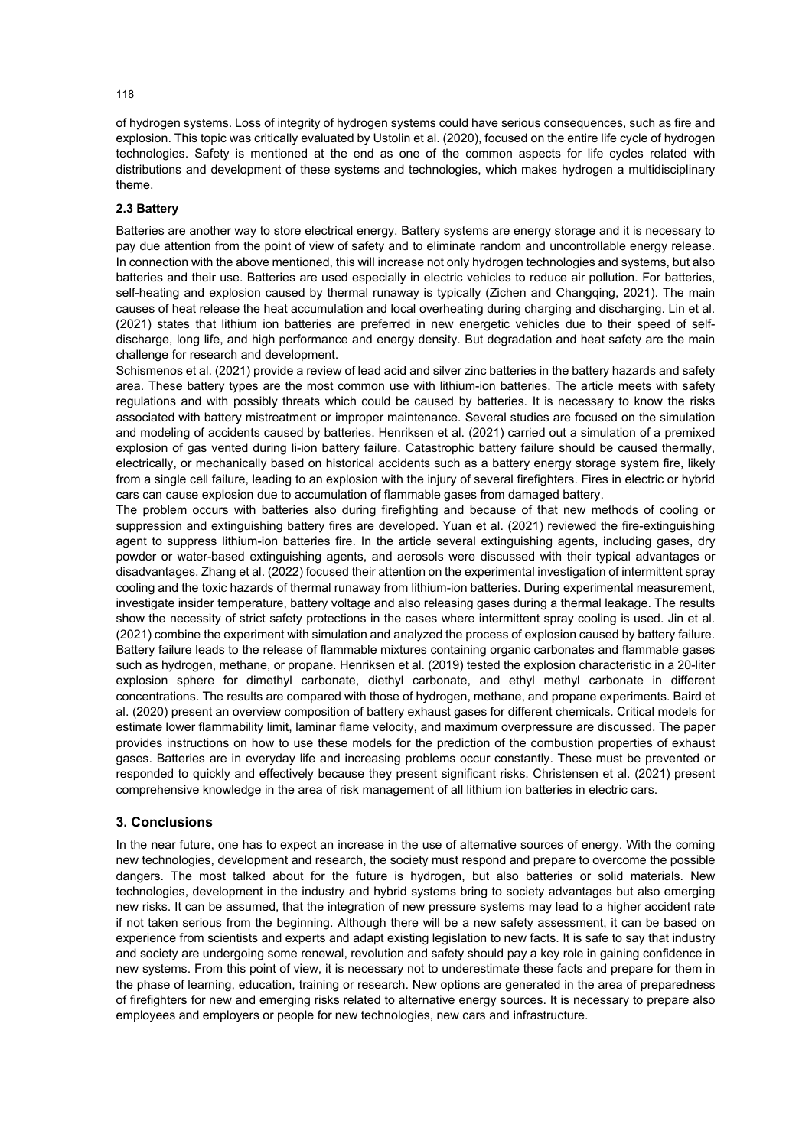of hydrogen systems. Loss of integrity of hydrogen systems could have serious consequences, such as fire and explosion. This topic was critically evaluated by Ustolin et al. (2020), focused on the entire life cycle of hydrogen technologies. Safety is mentioned at the end as one of the common aspects for life cycles related with distributions and development of these systems and technologies, which makes hydrogen a multidisciplinary theme.

### **2.3 Battery**

Batteries are another way to store electrical energy. Battery systems are energy storage and it is necessary to pay due attention from the point of view of safety and to eliminate random and uncontrollable energy release. In connection with the above mentioned, this will increase not only hydrogen technologies and systems, but also batteries and their use. Batteries are used especially in electric vehicles to reduce air pollution. For batteries, self-heating and explosion caused by thermal runaway is typically (Zichen and Changqing, 2021). The main causes of heat release the heat accumulation and local overheating during charging and discharging. Lin et al. (2021) states that lithium ion batteries are preferred in new energetic vehicles due to their speed of selfdischarge, long life, and high performance and energy density. But degradation and heat safety are the main challenge for research and development.

Schismenos et al. (2021) provide a review of lead acid and silver zinc batteries in the battery hazards and safety area. These battery types are the most common use with lithium-ion batteries. The article meets with safety regulations and with possibly threats which could be caused by batteries. It is necessary to know the risks associated with battery mistreatment or improper maintenance. Several studies are focused on the simulation and modeling of accidents caused by batteries. Henriksen et al. (2021) carried out a simulation of a premixed explosion of gas vented during li-ion battery failure. Catastrophic battery failure should be caused thermally, electrically, or mechanically based on historical accidents such as a battery energy storage system fire, likely from a single cell failure, leading to an explosion with the injury of several firefighters. Fires in electric or hybrid cars can cause explosion due to accumulation of flammable gases from damaged battery.

The problem occurs with batteries also during firefighting and because of that new methods of cooling or suppression and extinguishing battery fires are developed. Yuan et al. (2021) reviewed the fire-extinguishing agent to suppress lithium-ion batteries fire. In the article several extinguishing agents, including gases, dry powder or water-based extinguishing agents, and aerosols were discussed with their typical advantages or disadvantages. Zhang et al. (2022) focused their attention on the experimental investigation of intermittent spray cooling and the toxic hazards of thermal runaway from lithium-ion batteries. During experimental measurement, investigate insider temperature, battery voltage and also releasing gases during a thermal leakage. The results show the necessity of strict safety protections in the cases where intermittent spray cooling is used. Jin et al. (2021) combine the experiment with simulation and analyzed the process of explosion caused by battery failure. Battery failure leads to the release of flammable mixtures containing organic carbonates and flammable gases such as hydrogen, methane, or propane. Henriksen et al. (2019) tested the explosion characteristic in a 20-liter explosion sphere for dimethyl carbonate, diethyl carbonate, and ethyl methyl carbonate in different concentrations. The results are compared with those of hydrogen, methane, and propane experiments. Baird et al. (2020) present an overview composition of battery exhaust gases for different chemicals. Critical models for estimate lower flammability limit, laminar flame velocity, and maximum overpressure are discussed. The paper provides instructions on how to use these models for the prediction of the combustion properties of exhaust gases. Batteries are in everyday life and increasing problems occur constantly. These must be prevented or responded to quickly and effectively because they present significant risks. Christensen et al. (2021) present comprehensive knowledge in the area of risk management of all lithium ion batteries in electric cars.

### **3. Conclusions**

In the near future, one has to expect an increase in the use of alternative sources of energy. With the coming new technologies, development and research, the society must respond and prepare to overcome the possible dangers. The most talked about for the future is hydrogen, but also batteries or solid materials. New technologies, development in the industry and hybrid systems bring to society advantages but also emerging new risks. It can be assumed, that the integration of new pressure systems may lead to a higher accident rate if not taken serious from the beginning. Although there will be a new safety assessment, it can be based on experience from scientists and experts and adapt existing legislation to new facts. It is safe to say that industry and society are undergoing some renewal, revolution and safety should pay a key role in gaining confidence in new systems. From this point of view, it is necessary not to underestimate these facts and prepare for them in the phase of learning, education, training or research. New options are generated in the area of preparedness of firefighters for new and emerging risks related to alternative energy sources. It is necessary to prepare also employees and employers or people for new technologies, new cars and infrastructure.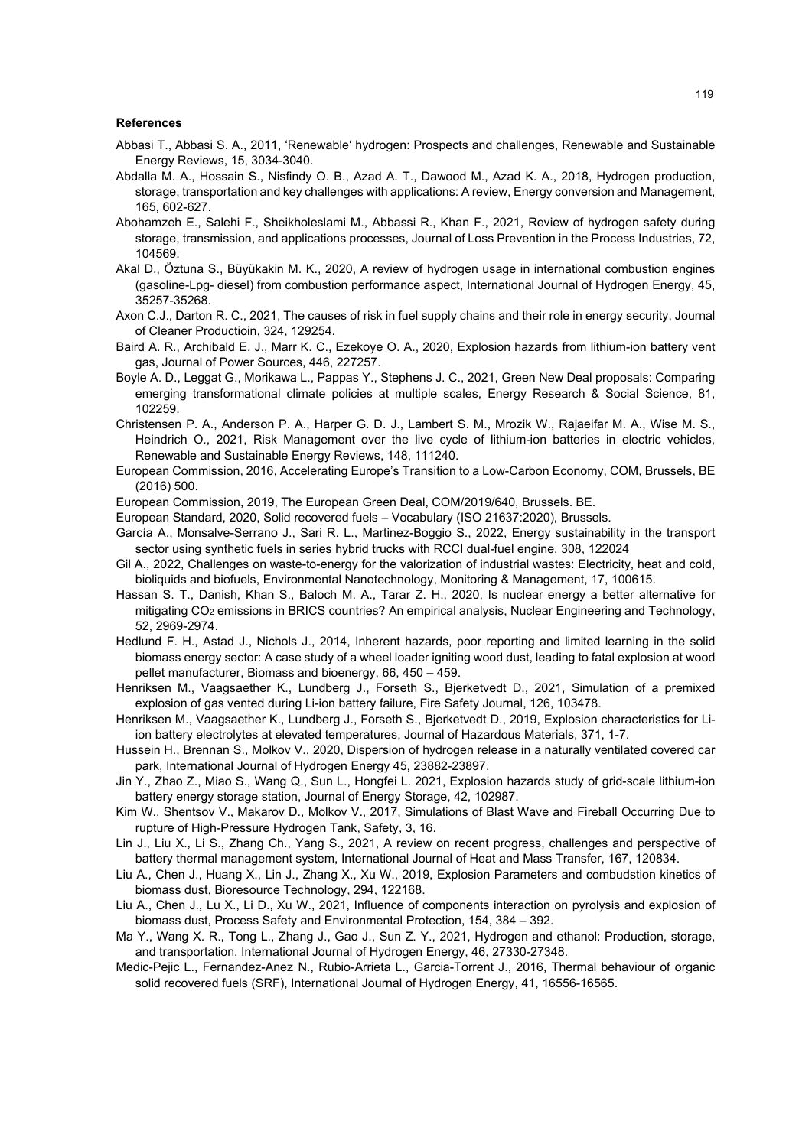#### **References**

- Abbasi T., Abbasi S. A., 2011, 'Renewable' hydrogen: Prospects and challenges, Renewable and Sustainable Energy Reviews, 15, 3034-3040.
- Abdalla M. A., Hossain S., Nisfindy O. B., Azad A. T., Dawood M., Azad K. A., 2018, Hydrogen production, storage, transportation and key challenges with applications: A review, Energy conversion and Management, 165, 602-627.
- Abohamzeh E., Salehi F., Sheikholeslami M., Abbassi R., Khan F., 2021, Review of hydrogen safety during storage, transmission, and applications processes, Journal of Loss Prevention in the Process Industries, 72, 104569.
- Akal D., Öztuna S., Büyükakin M. K., 2020, A review of hydrogen usage in international combustion engines (gasoline-Lpg- diesel) from combustion performance aspect, International Journal of Hydrogen Energy, 45, 35257-35268.
- Axon C.J., Darton R. C., 2021, The causes of risk in fuel supply chains and their role in energy security, Journal of Cleaner Productioin, 324, 129254.
- Baird A. R., Archibald E. J., Marr K. C., Ezekoye O. A., 2020, Explosion hazards from lithium-ion battery vent gas, Journal of Power Sources, 446, 227257.
- Boyle A. D., Leggat G., Morikawa L., Pappas Y., Stephens J. C., 2021, Green New Deal proposals: Comparing emerging transformational climate policies at multiple scales, Energy Research & Social Science, 81, 102259.
- Christensen P. A., Anderson P. A., Harper G. D. J., Lambert S. M., Mrozik W., Rajaeifar M. A., Wise M. S., Heindrich O., 2021, Risk Management over the live cycle of lithium-ion batteries in electric vehicles, Renewable and Sustainable Energy Reviews, 148, 111240.
- European Commission, 2016, Accelerating Europe's Transition to a Low-Carbon Economy, COM, Brussels, BE (2016) 500.
- European Commission, 2019, The European Green Deal, COM/2019/640, Brussels. BE.
- European Standard, 2020, Solid recovered fuels Vocabulary (ISO 21637:2020), Brussels.
- García A., Monsalve-Serrano J., Sari R. L., Martinez-Boggio S., 2022, Energy sustainability in the transport sector using synthetic fuels in series hybrid trucks with RCCI dual-fuel engine, 308, 122024
- Gil A., 2022, Challenges on waste-to-energy for the valorization of industrial wastes: Electricity, heat and cold, bioliquids and biofuels, Environmental Nanotechnology, Monitoring & Management, 17, 100615.
- Hassan S. T., Danish, Khan S., Baloch M. A., Tarar Z. H., 2020, Is nuclear energy a better alternative for mitigating CO2 emissions in BRICS countries? An empirical analysis, Nuclear Engineering and Technology, 52, 2969-2974.
- Hedlund F. H., Astad J., Nichols J., 2014, Inherent hazards, poor reporting and limited learning in the solid biomass energy sector: A case study of a wheel loader igniting wood dust, leading to fatal explosion at wood pellet manufacturer, Biomass and bioenergy, 66, 450 – 459.
- Henriksen M., Vaagsaether K., Lundberg J., Forseth S., Bjerketvedt D., 2021, Simulation of a premixed explosion of gas vented during Li-ion battery failure, Fire Safety Journal, 126, 103478.
- Henriksen M., Vaagsaether K., Lundberg J., Forseth S., Bjerketvedt D., 2019, Explosion characteristics for Liion battery electrolytes at elevated temperatures, Journal of Hazardous Materials, 371, 1-7.
- Hussein H., Brennan S., Molkov V., 2020, Dispersion of hydrogen release in a naturally ventilated covered car park, International Journal of Hydrogen Energy 45, 23882-23897.
- Jin Y., Zhao Z., Miao S., Wang Q., Sun L., Hongfei L. 2021, Explosion hazards study of grid-scale lithium-ion battery energy storage station, Journal of Energy Storage, 42, 102987.
- Kim W., Shentsov V., Makarov D., Molkov V., 2017, Simulations of Blast Wave and Fireball Occurring Due to rupture of High-Pressure Hydrogen Tank, Safety, 3, 16.
- Lin J., Liu X., Li S., Zhang Ch., Yang S., 2021, A review on recent progress, challenges and perspective of battery thermal management system, International Journal of Heat and Mass Transfer, 167, 120834.
- Liu A., Chen J., Huang X., Lin J., Zhang X., Xu W., 2019, Explosion Parameters and combudstion kinetics of biomass dust, Bioresource Technology, 294, 122168.
- Liu A., Chen J., Lu X., Li D., Xu W., 2021, Influence of components interaction on pyrolysis and explosion of biomass dust, Process Safety and Environmental Protection, 154, 384 – 392.
- Ma Y., Wang X. R., Tong L., Zhang J., Gao J., Sun Z. Y., 2021, Hydrogen and ethanol: Production, storage, and transportation, International Journal of Hydrogen Energy, 46, 27330-27348.
- Medic-Pejic L., Fernandez-Anez N., Rubio-Arrieta L., Garcia-Torrent J., 2016, Thermal behaviour of organic solid recovered fuels (SRF), International Journal of Hydrogen Energy, 41, 16556-16565.